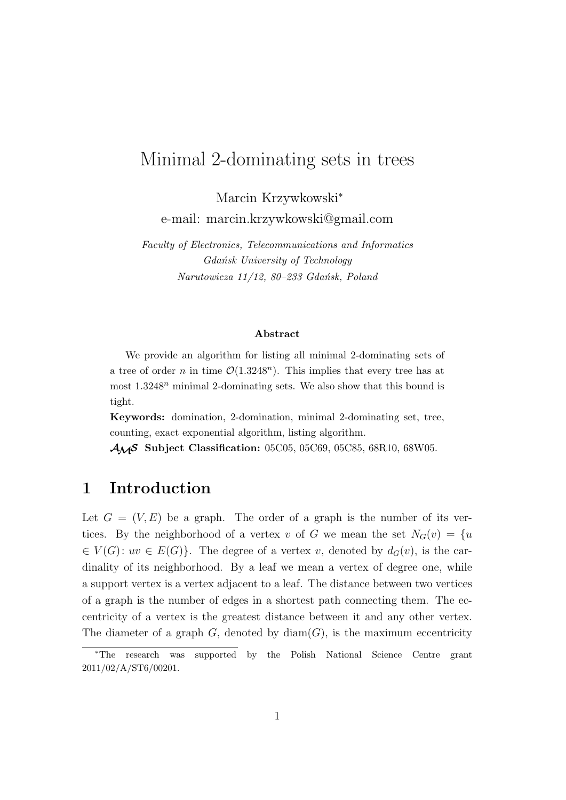## Minimal 2-dominating sets in trees

Marcin Krzywkowski*<sup>∗</sup>* e-mail: marcin.krzywkowski@gmail.com

*Faculty of Electronics, Telecommunications and Informatics Gda´nsk University of Technology Narutowicza 11/12, 80–233 Gda´nsk, Poland*

#### **Abstract**

We provide an algorithm for listing all minimal 2-dominating sets of a tree of order *n* in time  $\mathcal{O}(1.3248^n)$ . This implies that every tree has at most 1*.*3248*<sup>n</sup>* minimal 2-dominating sets. We also show that this bound is tight.

**Keywords:** domination, 2-domination, minimal 2-dominating set, tree, counting, exact exponential algorithm, listing algorithm.

*AMS* **Subject Classification:** 05C05, 05C69, 05C85, 68R10, 68W05.

### **1 Introduction**

Let  $G = (V, E)$  be a graph. The order of a graph is the number of its vertices. By the neighborhood of a vertex *v* of *G* we mean the set  $N_G(v) = \{u\}$  $\in V(G)$ :  $uv \in E(G)$ }. The degree of a vertex *v*, denoted by  $d_G(v)$ , is the cardinality of its neighborhood. By a leaf we mean a vertex of degree one, while a support vertex is a vertex adjacent to a leaf. The distance between two vertices of a graph is the number of edges in a shortest path connecting them. The eccentricity of a vertex is the greatest distance between it and any other vertex. The diameter of a graph  $G$ , denoted by  $\text{diam}(G)$ , is the maximum eccentricity

*<sup>∗</sup>*The research was supported by the Polish National Science Centre grant 2011/02/A/ST6/00201.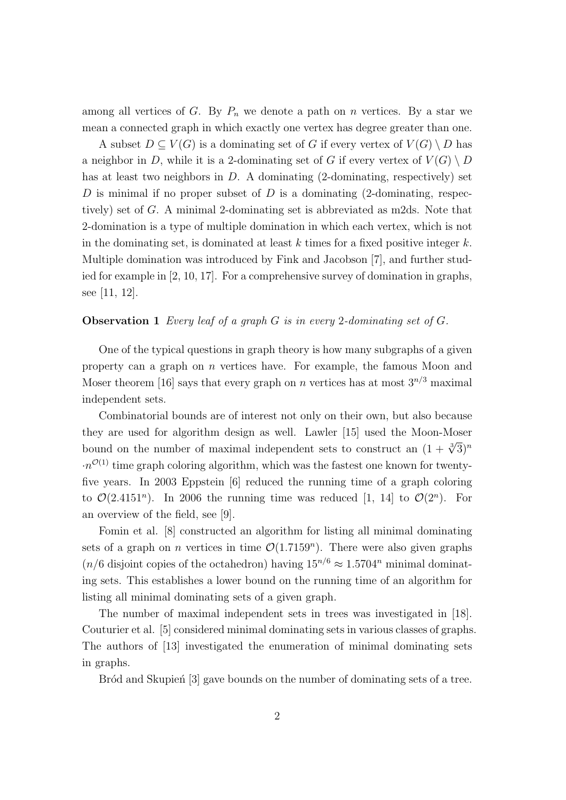among all vertices of *G*. By  $P_n$  we denote a path on *n* vertices. By a star we mean a connected graph in which exactly one vertex has degree greater than one.

A subset  $D \subseteq V(G)$  is a dominating set of G if every vertex of  $V(G) \setminus D$  has a neighbor in *D*, while it is a 2-dominating set of *G* if every vertex of  $V(G) \setminus D$ has at least two neighbors in *D*. A dominating (2-dominating, respectively) set *D* is minimal if no proper subset of *D* is a dominating (2-dominating, respectively) set of *G*. A minimal 2-dominating set is abbreviated as m2ds. Note that 2-domination is a type of multiple domination in which each vertex, which is not in the dominating set, is dominated at least *k* times for a fixed positive integer *k*. Multiple domination was introduced by Fink and Jacobson [7], and further studied for example in [2, 10, 17]. For a comprehensive survey of domination in graphs, see [11, 12].

#### **Observation 1** *Every leaf of a graph G is in every* 2*-dominating set of G.*

One of the typical questions in graph theory is how many subgraphs of a given property can a graph on *n* vertices have. For example, the famous Moon and Moser theorem [16] says that every graph on *n* vertices has at most  $3^{n/3}$  maximal independent sets.

Combinatorial bounds are of interest not only on their own, but also because they are used for algorithm design as well. Lawler [15] used the Moon-Moser bound on the number of maximal independent sets to construct an  $(1 + \sqrt[3]{3})^n$  $\cdot n^{\mathcal{O}(1)}$  time graph coloring algorithm, which was the fastest one known for twentyfive years. In 2003 Eppstein [6] reduced the running time of a graph coloring to  $\mathcal{O}(2.4151^n)$ . In 2006 the running time was reduced [1, 14] to  $\mathcal{O}(2^n)$ . For an overview of the field, see [9].

Fomin et al. [8] constructed an algorithm for listing all minimal dominating sets of a graph on *n* vertices in time  $\mathcal{O}(1.7159^n)$ . There were also given graphs  $(n/6$  disjoint copies of the octahedron) having  $15^{n/6} \approx 1.5704^n$  minimal dominating sets. This establishes a lower bound on the running time of an algorithm for listing all minimal dominating sets of a given graph.

The number of maximal independent sets in trees was investigated in [18]. Couturier et al. [5] considered minimal dominating sets in various classes of graphs. The authors of [13] investigated the enumeration of minimal dominating sets in graphs.

Bród and Skupien<sup>[3]</sup> gave bounds on the number of dominating sets of a tree.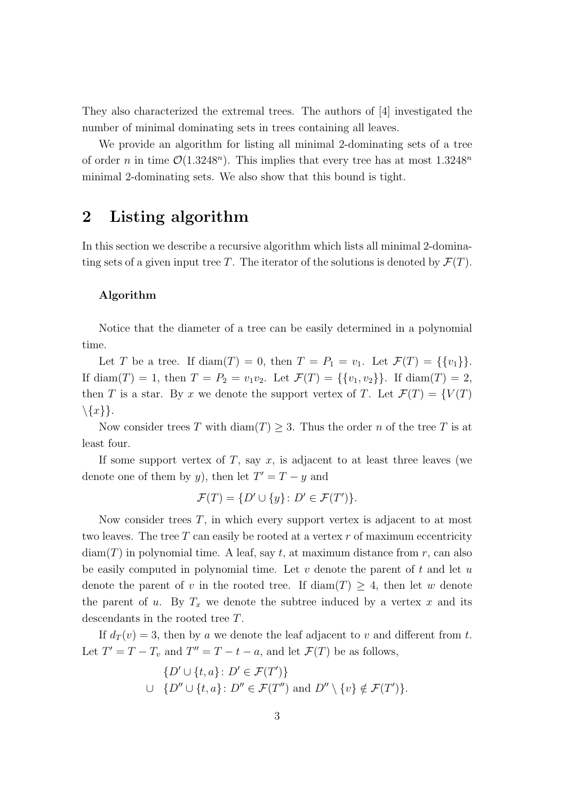They also characterized the extremal trees. The authors of [4] investigated the number of minimal dominating sets in trees containing all leaves.

We provide an algorithm for listing all minimal 2-dominating sets of a tree of order *n* in time  $\mathcal{O}(1.3248^n)$ . This implies that every tree has at most  $1.3248^n$ minimal 2-dominating sets. We also show that this bound is tight.

### **2 Listing algorithm**

In this section we describe a recursive algorithm which lists all minimal 2-dominating sets of a given input tree *T*. The iterator of the solutions is denoted by  $\mathcal{F}(T)$ .

#### **Algorithm**

Notice that the diameter of a tree can be easily determined in a polynomial time.

Let *T* be a tree. If diam(*T*) = 0, then  $T = P_1 = v_1$ . Let  $\mathcal{F}(T) = \{\{v_1\}\}.$ If diam(*T*) = 1, then  $T = P_2 = v_1v_2$ . Let  $\mathcal{F}(T) = {\{v_1, v_2\}}$ . If diam(*T*) = 2, then *T* is a star. By *x* we denote the support vertex of *T*. Let  $\mathcal{F}(T) = \{V(T)$ *\{x}}*.

Now consider trees *T* with diam(*T*)  $\geq$  3. Thus the order *n* of the tree *T* is at least four.

If some support vertex of  $T$ , say  $x$ , is adjacent to at least three leaves (we denote one of them by *y*), then let  $T' = T - y$  and

$$
\mathcal{F}(T) = \{ D' \cup \{y\} \colon D' \in \mathcal{F}(T') \}.
$$

Now consider trees *T*, in which every support vertex is adjacent to at most two leaves. The tree *T* can easily be rooted at a vertex *r* of maximum eccentricity  $diam(T)$  in polynomial time. A leaf, say  $t$ , at maximum distance from  $r$ , can also be easily computed in polynomial time. Let *v* denote the parent of *t* and let *u* denote the parent of *v* in the rooted tree. If  $\text{diam}(T) \geq 4$ , then let *w* denote the parent of *u*. By  $T_x$  we denote the subtree induced by a vertex  $x$  and its descendants in the rooted tree *T*.

If  $d_T(v) = 3$ , then by *a* we denote the leaf adjacent to *v* and different from *t*. Let  $T' = T - T_v$  and  $T'' = T - t - a$ , and let  $\mathcal{F}(T)$  be as follows,

$$
\{D' \cup \{t, a\} \colon D' \in \mathcal{F}(T')\}
$$
  

$$
\cup \{D'' \cup \{t, a\} \colon D'' \in \mathcal{F}(T'')
$$
 and 
$$
D'' \setminus \{v\} \notin \mathcal{F}(T')\}.
$$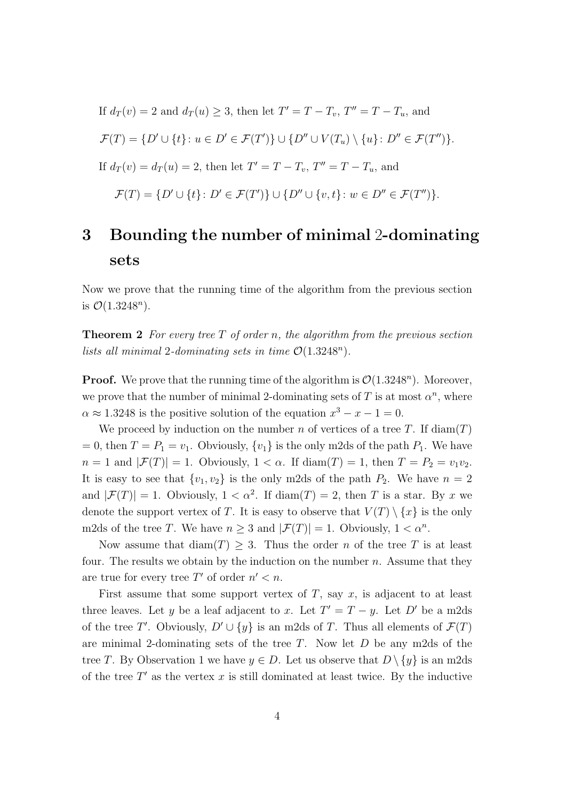If 
$$
d_T(v) = 2
$$
 and  $d_T(u) \geq 3$ , then let  $T' = T - T_v$ ,  $T'' = T - T_u$ , and  $\mathcal{F}(T) = \{D' \cup \{t\} : u \in D' \in \mathcal{F}(T')\} \cup \{D'' \cup V(T_u) \setminus \{u\} : D'' \in \mathcal{F}(T'')\}.$  If  $d_T(v) = d_T(u) = 2$ , then let  $T' = T - T_v$ ,  $T'' = T - T_u$ , and  $\mathcal{F}(T) = \{D' \cup \{t\} : D' \in \mathcal{F}(T')\} \cup \{D'' \cup \{v,t\} : w \in D'' \in \mathcal{F}(T'')\}.$ 

# **3 Bounding the number of minimal** 2**-dominating sets**

Now we prove that the running time of the algorithm from the previous section is  $\mathcal{O}(1.3248^n)$ .

**Theorem 2** *For every tree T of order n, the algorithm from the previous section lists all minimal* 2*-dominating sets in time*  $\mathcal{O}(1.3248^n)$ *.* 

**Proof.** We prove that the running time of the algorithm is  $\mathcal{O}(1.3248^n)$ . Moreover, we prove that the number of minimal 2-dominating sets of  $T$  is at most  $\alpha^n$ , where  $\alpha \approx 1.3248$  is the positive solution of the equation  $x^3 - x - 1 = 0$ .

We proceed by induction on the number *n* of vertices of a tree *T*. If  $\text{diam}(T)$  $= 0$ , then  $T = P_1 = v_1$ . Obviously,  $\{v_1\}$  is the only m2ds of the path  $P_1$ . We have  $n = 1$  and  $|\mathcal{F}(T)| = 1$ . Obviously,  $1 < \alpha$ . If diam(*T*) = 1, then  $T = P_2 = v_1v_2$ . It is easy to see that  $\{v_1, v_2\}$  is the only m2ds of the path  $P_2$ . We have  $n = 2$ and  $|\mathcal{F}(T)| = 1$ . Obviously,  $1 < \alpha^2$ . If diam $(T) = 2$ , then *T* is a star. By *x* we denote the support vertex of *T*. It is easy to observe that  $V(T) \setminus \{x\}$  is the only m2ds of the tree *T*. We have  $n \geq 3$  and  $|\mathcal{F}(T)| = 1$ . Obviously,  $1 < \alpha^n$ .

Now assume that  $\text{diam}(T) \geq 3$ . Thus the order *n* of the tree *T* is at least four. The results we obtain by the induction on the number *n*. Assume that they are true for every tree  $T'$  of order  $n' < n$ .

First assume that some support vertex of  $T$ , say  $x$ , is adjacent to at least three leaves. Let *y* be a leaf adjacent to *x*. Let  $T' = T - y$ . Let  $D'$  be a m2ds of the tree *T'*. Obviously,  $D' \cup \{y\}$  is an m2ds of *T*. Thus all elements of  $\mathcal{F}(T)$ are minimal 2-dominating sets of the tree *T*. Now let *D* be any m2ds of the tree *T*. By Observation 1 we have  $y \in D$ . Let us observe that  $D \setminus \{y\}$  is an m2ds of the tree *T ′* as the vertex *x* is still dominated at least twice. By the inductive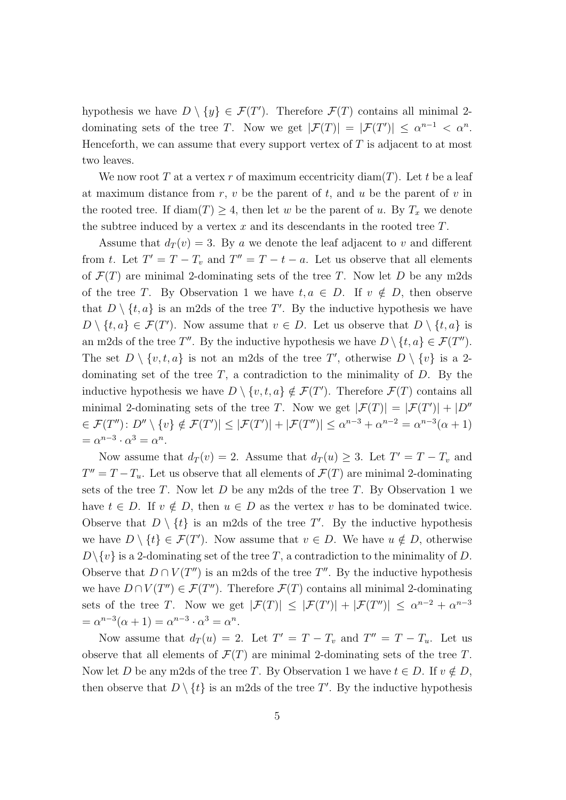hypothesis we have  $D \setminus \{y\} \in \mathcal{F}(T')$ . Therefore  $\mathcal{F}(T)$  contains all minimal 2dominating sets of the tree *T*. Now we get  $|\mathcal{F}(T)| = |\mathcal{F}(T')| \leq \alpha^{n-1} < \alpha^n$ . Henceforth, we can assume that every support vertex of *T* is adjacent to at most two leaves.

We now root *T* at a vertex *r* of maximum eccentricity diam(*T*). Let *t* be a leaf at maximum distance from  $r, v$  be the parent of  $t$ , and  $u$  be the parent of  $v$  in the rooted tree. If  $\text{diam}(T) \geq 4$ , then let *w* be the parent of *u*. By  $T_x$  we denote the subtree induced by a vertex *x* and its descendants in the rooted tree *T*.

Assume that  $d_T(v) = 3$ . By *a* we denote the leaf adjacent to *v* and different from *t*. Let  $T' = T - T_v$  and  $T'' = T - t - a$ . Let us observe that all elements of  $\mathcal{F}(T)$  are minimal 2-dominating sets of the tree *T*. Now let *D* be any m2ds of the tree *T*. By Observation 1 we have  $t, a \in D$ . If  $v \notin D$ , then observe that  $D \setminus \{t, a\}$  is an m2ds of the tree T'. By the inductive hypothesis we have  $D \setminus \{t, a\} \in \mathcal{F}(T')$ . Now assume that  $v \in D$ . Let us observe that  $D \setminus \{t, a\}$  is an m2ds of the tree  $T''$ . By the inductive hypothesis we have  $D \setminus \{t, a\} \in \mathcal{F}(T'')$ . The set  $D \setminus \{v, t, a\}$  is not an m2ds of the tree T', otherwise  $D \setminus \{v\}$  is a 2dominating set of the tree *T*, a contradiction to the minimality of *D*. By the inductive hypothesis we have  $D \setminus \{v, t, a\} \notin \mathcal{F}(T')$ . Therefore  $\mathcal{F}(T)$  contains all minimal 2-dominating sets of the tree *T*. Now we get  $|\mathcal{F}(T)| = |\mathcal{F}(T')| + |D''|$  $\in \mathcal{F}(T'')$ :  $D'' \setminus \{v\} \notin \mathcal{F}(T') \leq |\mathcal{F}(T')| + |\mathcal{F}(T'')| \leq \alpha^{n-3} + \alpha^{n-2} = \alpha^{n-3}(\alpha+1)$  $= \alpha^{n-3} \cdot \alpha^3 = \alpha^n$ .

Now assume that  $d_T(v) = 2$ . Assume that  $d_T(u) \geq 3$ . Let  $T' = T - T_v$  and  $T'' = T - T_u$ . Let us observe that all elements of  $\mathcal{F}(T)$  are minimal 2-dominating sets of the tree *T*. Now let *D* be any m2ds of the tree *T*. By Observation 1 we have  $t \in D$ . If  $v \notin D$ , then  $u \in D$  as the vertex v has to be dominated twice. Observe that  $D \setminus \{t\}$  is an m2ds of the tree T'. By the inductive hypothesis we have  $D \setminus \{t\} \in \mathcal{F}(T')$ . Now assume that  $v \in D$ . We have  $u \notin D$ , otherwise  $D \setminus \{v\}$  is a 2-dominating set of the tree *T*, a contradiction to the minimality of *D*. Observe that  $D \cap V(T'')$  is an m2ds of the tree  $T''$ . By the inductive hypothesis we have  $D \cap V(T'') \in \mathcal{F}(T'')$ . Therefore  $\mathcal{F}(T)$  contains all minimal 2-dominating sets of the tree *T*. Now we get  $|\mathcal{F}(T)| \leq |\mathcal{F}(T')| + |\mathcal{F}(T'')| \leq \alpha^{n-2} + \alpha^{n-3}$  $= \alpha^{n-3}(\alpha + 1) = \alpha^{n-3} \cdot \alpha^3 = \alpha^n.$ 

Now assume that  $d_T(u) = 2$ . Let  $T' = T - T_v$  and  $T'' = T - T_u$ . Let us observe that all elements of  $\mathcal{F}(T)$  are minimal 2-dominating sets of the tree *T*. Now let *D* be any m2ds of the tree *T*. By Observation 1 we have  $t \in D$ . If  $v \notin D$ , then observe that  $D \setminus \{t\}$  is an m2ds of the tree T'. By the inductive hypothesis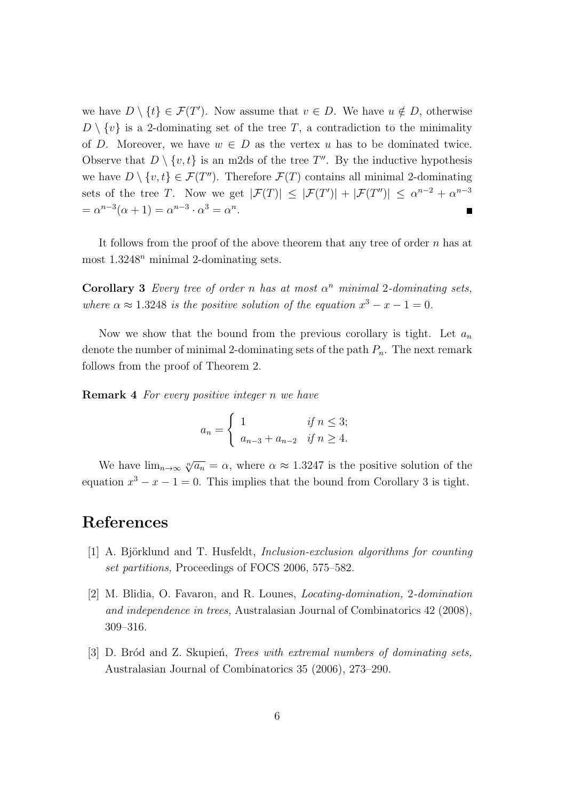we have  $D \setminus \{t\} \in \mathcal{F}(T')$ . Now assume that  $v \in D$ . We have  $u \notin D$ , otherwise  $D \setminus \{v\}$  is a 2-dominating set of the tree *T*, a contradiction to the minimality of *D*. Moreover, we have  $w \in D$  as the vertex *u* has to be dominated twice. Observe that  $D \setminus \{v, t\}$  is an m2ds of the tree  $T''$ . By the inductive hypothesis we have  $D \setminus \{v, t\} \in \mathcal{F}(T'')$ . Therefore  $\mathcal{F}(T)$  contains all minimal 2-dominating sets of the tree *T*. Now we get  $|\mathcal{F}(T)| \leq |\mathcal{F}(T')| + |\mathcal{F}(T'')| \leq \alpha^{n-2} + \alpha^{n-3}$  $= \alpha^{n-3}(\alpha + 1) = \alpha^{n-3} \cdot \alpha^3 = \alpha^n.$ П

It follows from the proof of the above theorem that any tree of order *n* has at most 1*.*3248*<sup>n</sup>* minimal 2-dominating sets.

**Corollary 3** *Every tree of order n has at most*  $\alpha^n$  *minimal* 2*-dominating sets, where*  $\alpha \approx 1.3248$  *is the positive solution of the equation*  $x^3 - x - 1 = 0$ *.* 

Now we show that the bound from the previous corollary is tight. Let *a<sup>n</sup>* denote the number of minimal 2-dominating sets of the path *Pn*. The next remark follows from the proof of Theorem 2.

**Remark 4** *For every positive integer n we have*

$$
a_n = \begin{cases} 1 & \text{if } n \le 3; \\ a_{n-3} + a_{n-2} & \text{if } n \ge 4. \end{cases}
$$

We have  $\lim_{n\to\infty} \sqrt[n]{a_n} = \alpha$ , where  $\alpha \approx 1.3247$  is the positive solution of the equation  $x^3 - x - 1 = 0$ . This implies that the bound from Corollary 3 is tight.

### **References**

- [1] A. Björklund and T. Husfeldt, *Inclusion-exclusion algorithms for counting set partitions,* Proceedings of FOCS 2006, 575–582.
- [2] M. Blidia, O. Favaron, and R. Lounes, *Locating-domination,* 2*-domination and independence in trees,* Australasian Journal of Combinatorics 42 (2008), 309–316.
- [3] D. Bród and Z. Skupien, *Trees with extremal numbers of dominating sets*, Australasian Journal of Combinatorics 35 (2006), 273–290.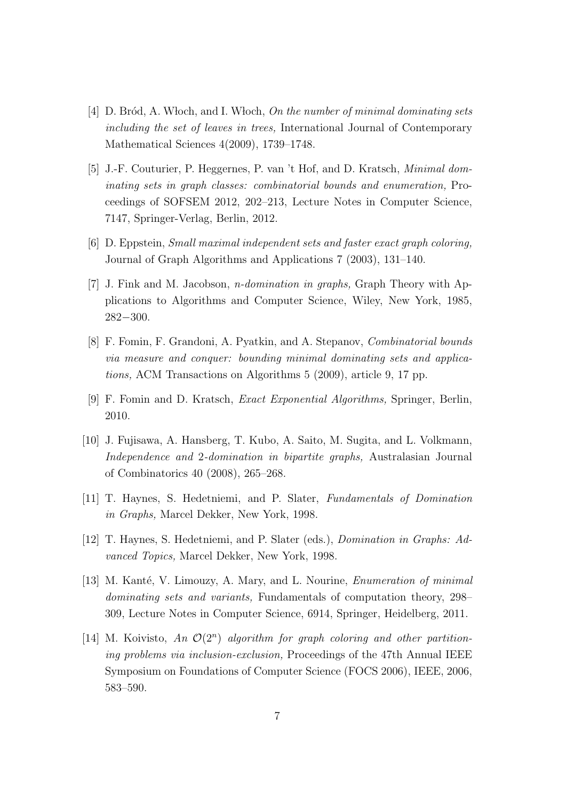- [4] D. Br´od, A. W loch, and I. W loch, *On the number of minimal dominating sets including the set of leaves in trees,* International Journal of Contemporary Mathematical Sciences 4(2009), 1739–1748.
- [5] J.-F. Couturier, P. Heggernes, P. van 't Hof, and D. Kratsch, *Minimal dominating sets in graph classes: combinatorial bounds and enumeration,* Proceedings of SOFSEM 2012, 202–213, Lecture Notes in Computer Science, 7147, Springer-Verlag, Berlin, 2012.
- [6] D. Eppstein, *Small maximal independent sets and faster exact graph coloring,* Journal of Graph Algorithms and Applications 7 (2003), 131–140.
- [7] J. Fink and M. Jacobson, *n-domination in graphs,* Graph Theory with Applications to Algorithms and Computer Science, Wiley, New York, 1985, 282*−*300.
- [8] F. Fomin, F. Grandoni, A. Pyatkin, and A. Stepanov, *Combinatorial bounds via measure and conquer: bounding minimal dominating sets and applications,* ACM Transactions on Algorithms 5 (2009), article 9, 17 pp.
- [9] F. Fomin and D. Kratsch, *Exact Exponential Algorithms,* Springer, Berlin, 2010.
- [10] J. Fujisawa, A. Hansberg, T. Kubo, A. Saito, M. Sugita, and L. Volkmann, *Independence and* 2*-domination in bipartite graphs,* Australasian Journal of Combinatorics 40 (2008), 265–268.
- [11] T. Haynes, S. Hedetniemi, and P. Slater, *Fundamentals of Domination in Graphs,* Marcel Dekker, New York, 1998.
- [12] T. Haynes, S. Hedetniemi, and P. Slater (eds.), *Domination in Graphs: Advanced Topics,* Marcel Dekker, New York, 1998.
- [13] M. Kanté, V. Limouzy, A. Mary, and L. Nourine, *Enumeration of minimal dominating sets and variants,* Fundamentals of computation theory, 298– 309, Lecture Notes in Computer Science, 6914, Springer, Heidelberg, 2011.
- [14] M. Koivisto, *An O*(2*<sup>n</sup>* ) *algorithm for graph coloring and other partitioning problems via inclusion-exclusion,* Proceedings of the 47th Annual IEEE Symposium on Foundations of Computer Science (FOCS 2006), IEEE, 2006, 583–590.